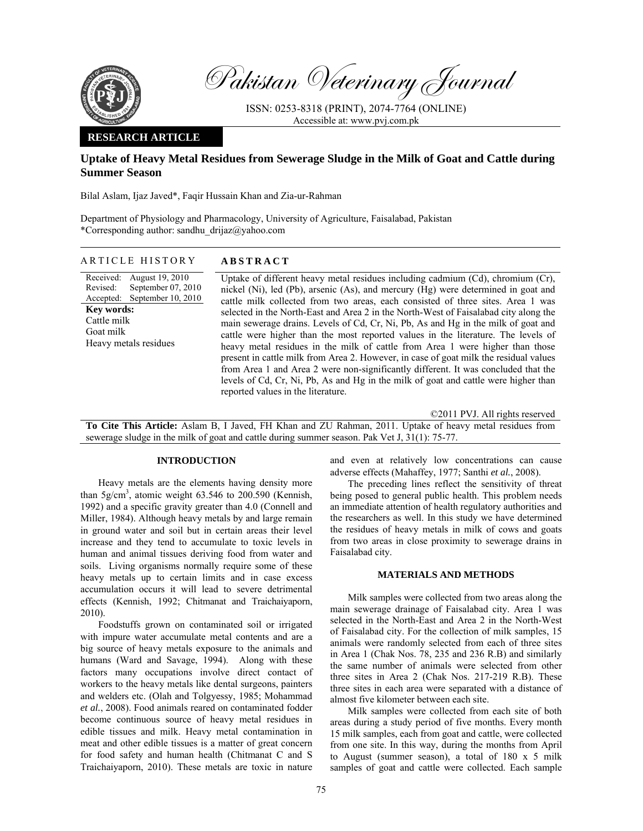

Pakistan Veterinary Journal

ISSN: 0253-8318 (PRINT), 2074-7764 (ONLINE) Accessible at: www.pvj.com.pk

## **RESEARCH ARTICLE**

# **Uptake of Heavy Metal Residues from Sewerage Sludge in the Milk of Goat and Cattle during Summer Season**

Bilal Aslam, Ijaz Javed\*, Faqir Hussain Khan and Zia-ur-Rahman

Department of Physiology and Pharmacology, University of Agriculture, Faisalabad, Pakistan \*Corresponding author: sandhu\_drijaz@yahoo.com

#### ARTICLE HISTORY **ABSTRACT**

Received: Revised: Accepted: August 19, 2010 September 07, 2010 September 10, 2010 **Key words:**  Cattle milk Goat milk Heavy metals residues

Uptake of different heavy metal residues including cadmium (Cd), chromium (Cr), nickel (Ni), led (Pb), arsenic (As), and mercury (Hg) were determined in goat and cattle milk collected from two areas, each consisted of three sites. Area 1 was selected in the North-East and Area 2 in the North-West of Faisalabad city along the main sewerage drains. Levels of Cd, Cr, Ni, Pb, As and Hg in the milk of goat and cattle were higher than the most reported values in the literature. The levels of heavy metal residues in the milk of cattle from Area 1 were higher than those present in cattle milk from Area 2. However, in case of goat milk the residual values from Area 1 and Area 2 were non-significantly different. It was concluded that the levels of Cd, Cr, Ni, Pb, As and Hg in the milk of goat and cattle were higher than reported values in the literature.

©2011 PVJ. All rights reserved

**To Cite This Article:** Aslam B, I Javed, FH Khan and ZU Rahman, 2011. Uptake of heavy metal residues from sewerage sludge in the milk of goat and cattle during summer season. Pak Vet J, 31(1): 75-77.

## **INTRODUCTION**

Heavy metals are the elements having density more than  $5g/cm<sup>3</sup>$ , atomic weight 63.546 to 200.590 (Kennish, 1992) and a specific gravity greater than 4.0 (Connell and Miller, 1984). Although heavy metals by and large remain in ground water and soil but in certain areas their level increase and they tend to accumulate to toxic levels in human and animal tissues deriving food from water and soils. Living organisms normally require some of these heavy metals up to certain limits and in case excess accumulation occurs it will lead to severe detrimental effects (Kennish, 1992; Chitmanat and Traichaiyaporn, 2010).

Foodstuffs grown on contaminated soil or irrigated with impure water accumulate metal contents and are a big source of heavy metals exposure to the animals and humans (Ward and Savage, 1994). Along with these factors many occupations involve direct contact of workers to the heavy metals like dental surgeons, painters and welders etc. (Olah and Tolgyessy, 1985; Mohammad *et al.*, 2008). Food animals reared on contaminated fodder become continuous source of heavy metal residues in edible tissues and milk. Heavy metal contamination in meat and other edible tissues is a matter of great concern for food safety and human health (Chitmanat C and S Traichaiyaporn, 2010). These metals are toxic in nature

and even at relatively low concentrations can cause adverse effects (Mahaffey, 1977; Santhi *et al.*, 2008).

The preceding lines reflect the sensitivity of threat being posed to general public health. This problem needs an immediate attention of health regulatory authorities and the researchers as well. In this study we have determined the residues of heavy metals in milk of cows and goats from two areas in close proximity to sewerage drains in Faisalabad city.

## **MATERIALS AND METHODS**

Milk samples were collected from two areas along the main sewerage drainage of Faisalabad city. Area 1 was selected in the North-East and Area 2 in the North-West of Faisalabad city. For the collection of milk samples, 15 animals were randomly selected from each of three sites in Area 1 (Chak Nos. 78, 235 and 236 R.B) and similarly the same number of animals were selected from other three sites in Area 2 (Chak Nos. 217-219 R.B). These three sites in each area were separated with a distance of almost five kilometer between each site.

Milk samples were collected from each site of both areas during a study period of five months. Every month 15 milk samples, each from goat and cattle, were collected from one site. In this way, during the months from April to August (summer season), a total of 180 x 5 milk samples of goat and cattle were collected. Each sample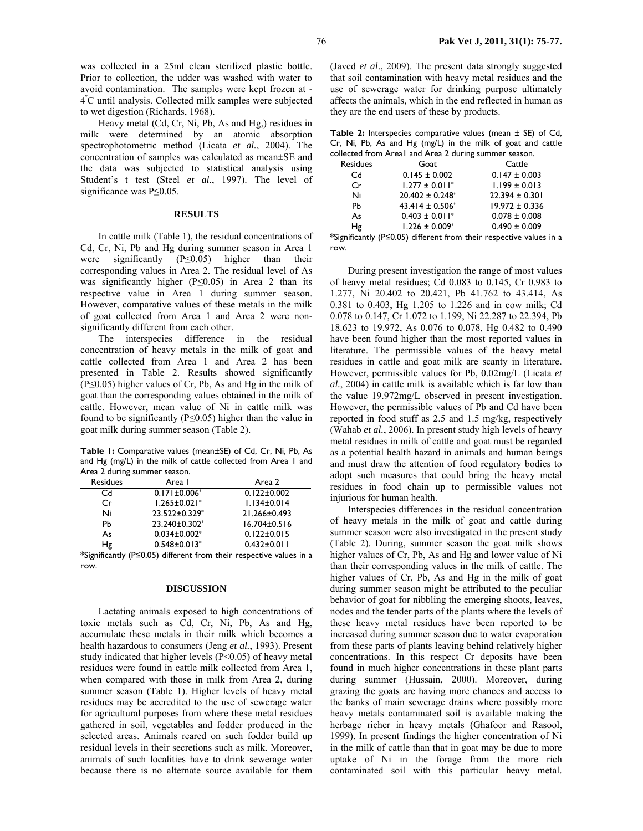was collected in a 25ml clean sterilized plastic bottle. Prior to collection, the udder was washed with water to avoid contamination. The samples were kept frozen at - 4º C until analysis. Collected milk samples were subjected to wet digestion (Richards, 1968).

Heavy metal (Cd, Cr, Ni, Pb, As and Hg,) residues in milk were determined by an atomic absorption spectrophotometric method (Licata *et al.*, 2004). The concentration of samples was calculated as mean±SE and the data was subjected to statistical analysis using Student's t test (Steel *et al.*, 1997). The level of significance was P≤0.05.

## **RESULTS**

In cattle milk (Table 1), the residual concentrations of Cd, Cr, Ni, Pb and Hg during summer season in Area 1 were significantly (P≤0.05) higher than their corresponding values in Area 2. The residual level of As was significantly higher ( $P \le 0.05$ ) in Area 2 than its respective value in Area 1 during summer season. However, comparative values of these metals in the milk of goat collected from Area 1 and Area 2 were nonsignificantly different from each other.

The interspecies difference in the residual concentration of heavy metals in the milk of goat and cattle collected from Area 1 and Area 2 has been presented in Table 2. Results showed significantly (P≤0.05) higher values of Cr, Pb, As and Hg in the milk of goat than the corresponding values obtained in the milk of cattle. However, mean value of Ni in cattle milk was found to be significantly ( $P \le 0.05$ ) higher than the value in goat milk during summer season (Table 2).

**Table 1:** Comparative values (mean±SE) of Cd, Cr, Ni, Pb, As and Hg (mg/L) in the milk of cattle collected from Area 1 and Area 2 during summer season.

| $\sim$ ca $\sim$ you mg summer season. |                                |                    |  |
|----------------------------------------|--------------------------------|--------------------|--|
| <b>Residues</b>                        | Area I                         | Area 2             |  |
| Cd                                     | $0.171 \pm 0.006*$             | $0.122 \pm 0.002$  |  |
| Cr                                     | $1.265 \pm 0.021$ *            | $1.134 \pm 0.014$  |  |
| Ni                                     | 23.522±0.329*                  | 21.266±0.493       |  |
| Pb                                     | 23.240±0.302*                  | $16.704 \pm 0.516$ |  |
| As                                     | $0.034 \pm 0.002$ *            | $0.122 \pm 0.015$  |  |
| Ηg                                     | $0.548 \pm 0.013$ <sup>*</sup> | $0.432 \pm 0.011$  |  |

\*Significantly (P≤0.05) different from their respective values in a row.

#### **DISCUSSION**

Lactating animals exposed to high concentrations of toxic metals such as Cd, Cr, Ni, Pb, As and Hg, accumulate these metals in their milk which becomes a health hazardous to consumers (Jeng *et al.*, 1993). Present study indicated that higher levels (P<0.05) of heavy metal residues were found in cattle milk collected from Area 1, when compared with those in milk from Area 2, during summer season (Table 1). Higher levels of heavy metal residues may be accredited to the use of sewerage water for agricultural purposes from where these metal residues gathered in soil, vegetables and fodder produced in the selected areas. Animals reared on such fodder build up residual levels in their secretions such as milk. Moreover, animals of such localities have to drink sewerage water because there is no alternate source available for them

(Javed *et al*., 2009). The present data strongly suggested that soil contamination with heavy metal residues and the use of sewerage water for drinking purpose ultimately affects the animals, which in the end reflected in human as they are the end users of these by products.

**Table 2:** Interspecies comparative values (mean ± SE) of Cd, Cr, Ni, Pb, As and Hg (mg/L) in the milk of goat and cattle collected from Areal and Area 2 during summer

| Conected if only $\mathsf{A}$ each and $\mathsf{A}$ each during summer season. |                                |                    |  |
|--------------------------------------------------------------------------------|--------------------------------|--------------------|--|
| <b>Residues</b>                                                                | Goat                           | Cattle             |  |
| Cd                                                                             | $0.145 \pm 0.002$              | $0.147 \pm 0.003$  |  |
| Cr                                                                             | $1.277 \pm 0.011$ <sup>*</sup> | $1.199 \pm 0.013$  |  |
| Ni                                                                             | $20.402 \pm 0.248^*$           | $22.394 \pm 0.301$ |  |
| Pb                                                                             | $43.414 \pm 0.506^*$           | $19.972 \pm 0.336$ |  |
| As                                                                             | $0.403 \pm 0.011$ <sup>*</sup> | $0.078 \pm 0.008$  |  |
| Ηg                                                                             | $1.226 \pm 0.009^*$            | $0.490 \pm 0.009$  |  |

\*Significantly (P≤0.05) different from their respective values in a row.

During present investigation the range of most values of heavy metal residues; Cd 0.083 to 0.145, Cr 0.983 to 1.277, Ni 20.402 to 20.421, Pb 41.762 to 43.414, As 0.381 to 0.403, Hg 1.205 to 1.226 and in cow milk; Cd 0.078 to 0.147, Cr 1.072 to 1.199, Ni 22.287 to 22.394, Pb 18.623 to 19.972, As 0.076 to 0.078, Hg 0.482 to 0.490 have been found higher than the most reported values in literature. The permissible values of the heavy metal residues in cattle and goat milk are scanty in literature. However, permissible values for Pb, 0.02mg/L (Licata *et al.*, 2004) in cattle milk is available which is far low than the value 19.972mg/L observed in present investigation. However, the permissible values of Pb and Cd have been reported in food stuff as 2.5 and 1.5 mg/kg, respectively (Wahab *et al.*, 2006). In present study high levels of heavy metal residues in milk of cattle and goat must be regarded as a potential health hazard in animals and human beings and must draw the attention of food regulatory bodies to adopt such measures that could bring the heavy metal residues in food chain up to permissible values not injurious for human health.

Interspecies differences in the residual concentration of heavy metals in the milk of goat and cattle during summer season were also investigated in the present study (Table 2). During, summer season the goat milk shows higher values of Cr, Pb, As and Hg and lower value of Ni than their corresponding values in the milk of cattle. The higher values of Cr, Pb, As and Hg in the milk of goat during summer season might be attributed to the peculiar behavior of goat for nibbling the emerging shoots, leaves, nodes and the tender parts of the plants where the levels of these heavy metal residues have been reported to be increased during summer season due to water evaporation from these parts of plants leaving behind relatively higher concentrations. In this respect Cr deposits have been found in much higher concentrations in these plant parts during summer (Hussain, 2000). Moreover, during grazing the goats are having more chances and access to the banks of main sewerage drains where possibly more heavy metals contaminated soil is available making the herbage richer in heavy metals (Ghafoor and Rasool, 1999). In present findings the higher concentration of Ni in the milk of cattle than that in goat may be due to more uptake of Ni in the forage from the more rich contaminated soil with this particular heavy metal.